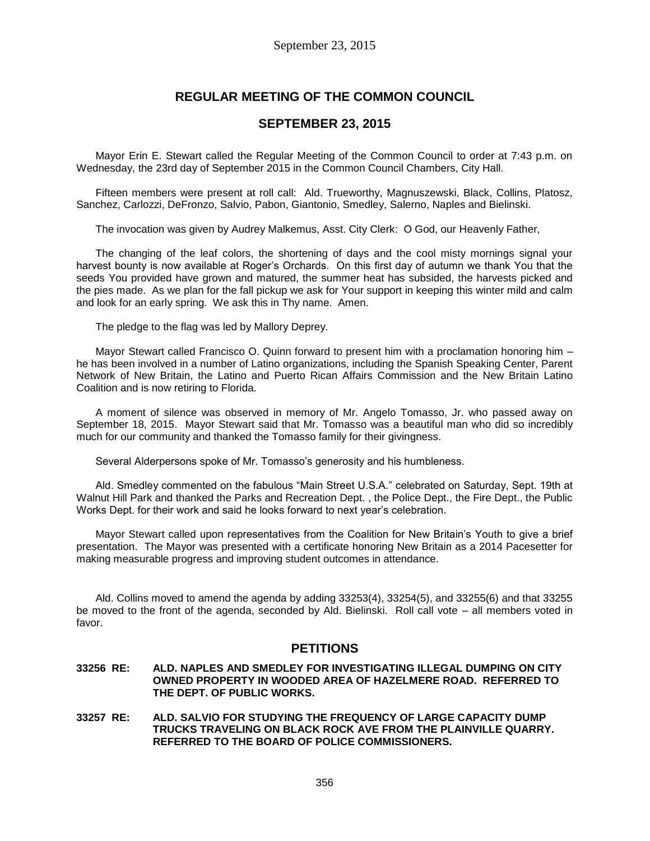# **REGULAR MEETING OF THE COMMON COUNCIL**

# **SEPTEMBER 23, 2015**

Mayor Erin E. Stewart called the Regular Meeting of the Common Council to order at 7:43 p.m. on Wednesday, the 23rd day of September 2015 in the Common Council Chambers, City Hall.

Fifteen members were present at roll call: Ald. Trueworthy, Magnuszewski, Black, Collins, Platosz, Sanchez, Carlozzi, DeFronzo, Salvio, Pabon, Giantonio, Smedley, Salerno, Naples and Bielinski.

The invocation was given by Audrey Malkemus, Asst. City Clerk: O God, our Heavenly Father,

The changing of the leaf colors, the shortening of days and the cool misty mornings signal your harvest bounty is now available at Roger's Orchards. On this first day of autumn we thank You that the seeds You provided have grown and matured, the summer heat has subsided, the harvests picked and the pies made. As we plan for the fall pickup we ask for Your support in keeping this winter mild and calm and look for an early spring. We ask this in Thy name. Amen.

The pledge to the flag was led by Mallory Deprey.

Mayor Stewart called Francisco O. Quinn forward to present him with a proclamation honoring him – he has been involved in a number of Latino organizations, including the Spanish Speaking Center, Parent Network of New Britain, the Latino and Puerto Rican Affairs Commission and the New Britain Latino Coalition and is now retiring to Florida.

A moment of silence was observed in memory of Mr. Angelo Tomasso, Jr. who passed away on September 18, 2015. Mayor Stewart said that Mr. Tomasso was a beautiful man who did so incredibly much for our community and thanked the Tomasso family for their givingness.

Several Alderpersons spoke of Mr. Tomasso's generosity and his humbleness.

Ald. Smedley commented on the fabulous "Main Street U.S.A." celebrated on Saturday, Sept. 19th at Walnut Hill Park and thanked the Parks and Recreation Dept. , the Police Dept., the Fire Dept., the Public Works Dept. for their work and said he looks forward to next year's celebration.

Mayor Stewart called upon representatives from the Coalition for New Britain's Youth to give a brief presentation. The Mayor was presented with a certificate honoring New Britain as a 2014 Pacesetter for making measurable progress and improving student outcomes in attendance.

Ald. Collins moved to amend the agenda by adding 33253(4), 33254(5), and 33255(6) and that 33255 be moved to the front of the agenda, seconded by Ald. Bielinski. Roll call vote – all members voted in favor.

## **PETITIONS**

- **33256 RE: ALD. NAPLES AND SMEDLEY FOR INVESTIGATING ILLEGAL DUMPING ON CITY OWNED PROPERTY IN WOODED AREA OF HAZELMERE ROAD. REFERRED TO THE DEPT. OF PUBLIC WORKS.**
- **33257 RE: ALD. SALVIO FOR STUDYING THE FREQUENCY OF LARGE CAPACITY DUMP TRUCKS TRAVELING ON BLACK ROCK AVE FROM THE PLAINVILLE QUARRY. REFERRED TO THE BOARD OF POLICE COMMISSIONERS.**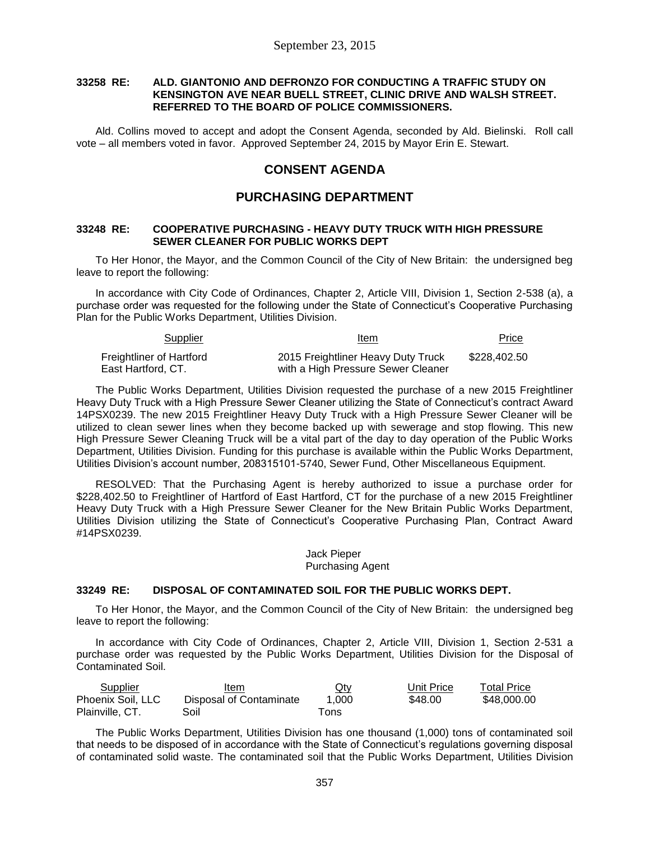#### **33258 RE: ALD. GIANTONIO AND DEFRONZO FOR CONDUCTING A TRAFFIC STUDY ON KENSINGTON AVE NEAR BUELL STREET, CLINIC DRIVE AND WALSH STREET. REFERRED TO THE BOARD OF POLICE COMMISSIONERS.**

Ald. Collins moved to accept and adopt the Consent Agenda, seconded by Ald. Bielinski. Roll call vote – all members voted in favor. Approved September 24, 2015 by Mayor Erin E. Stewart.

### **CONSENT AGENDA**

### **PURCHASING DEPARTMENT**

#### **33248 RE: COOPERATIVE PURCHASING - HEAVY DUTY TRUCK WITH HIGH PRESSURE SEWER CLEANER FOR PUBLIC WORKS DEPT**

To Her Honor, the Mayor, and the Common Council of the City of New Britain: the undersigned beg leave to report the following:

In accordance with City Code of Ordinances, Chapter 2, Article VIII, Division 1, Section 2-538 (a), a purchase order was requested for the following under the State of Connecticut's Cooperative Purchasing Plan for the Public Works Department, Utilities Division.

| <b>Supplier</b>                                | Item                                                                     | Price        |
|------------------------------------------------|--------------------------------------------------------------------------|--------------|
| Freightliner of Hartford<br>East Hartford, CT. | 2015 Freightliner Heavy Duty Truck<br>with a High Pressure Sewer Cleaner | \$228.402.50 |

The Public Works Department, Utilities Division requested the purchase of a new 2015 Freightliner Heavy Duty Truck with a High Pressure Sewer Cleaner utilizing the State of Connecticut's contract Award 14PSX0239. The new 2015 Freightliner Heavy Duty Truck with a High Pressure Sewer Cleaner will be utilized to clean sewer lines when they become backed up with sewerage and stop flowing. This new High Pressure Sewer Cleaning Truck will be a vital part of the day to day operation of the Public Works Department, Utilities Division. Funding for this purchase is available within the Public Works Department, Utilities Division's account number, 208315101-5740, Sewer Fund, Other Miscellaneous Equipment.

RESOLVED: That the Purchasing Agent is hereby authorized to issue a purchase order for \$228,402.50 to Freightliner of Hartford of East Hartford, CT for the purchase of a new 2015 Freightliner Heavy Duty Truck with a High Pressure Sewer Cleaner for the New Britain Public Works Department, Utilities Division utilizing the State of Connecticut's Cooperative Purchasing Plan, Contract Award #14PSX0239.

> Jack Pieper Purchasing Agent

#### **33249 RE: DISPOSAL OF CONTAMINATED SOIL FOR THE PUBLIC WORKS DEPT.**

To Her Honor, the Mayor, and the Common Council of the City of New Britain: the undersigned beg leave to report the following:

In accordance with City Code of Ordinances, Chapter 2, Article VIII, Division 1, Section 2-531 a purchase order was requested by the Public Works Department, Utilities Division for the Disposal of Contaminated Soil.

| Supplier                 | Item                    | $Q$ ty | Unit Price | <b>Total Price</b> |
|--------------------------|-------------------------|--------|------------|--------------------|
| <b>Phoenix Soil, LLC</b> | Disposal of Contaminate | 1.000  | \$48.00    | \$48,000,00        |
| Plainville, CT.          | Soil                    | ons "  |            |                    |

The Public Works Department, Utilities Division has one thousand (1,000) tons of contaminated soil that needs to be disposed of in accordance with the State of Connecticut's regulations governing disposal of contaminated solid waste. The contaminated soil that the Public Works Department, Utilities Division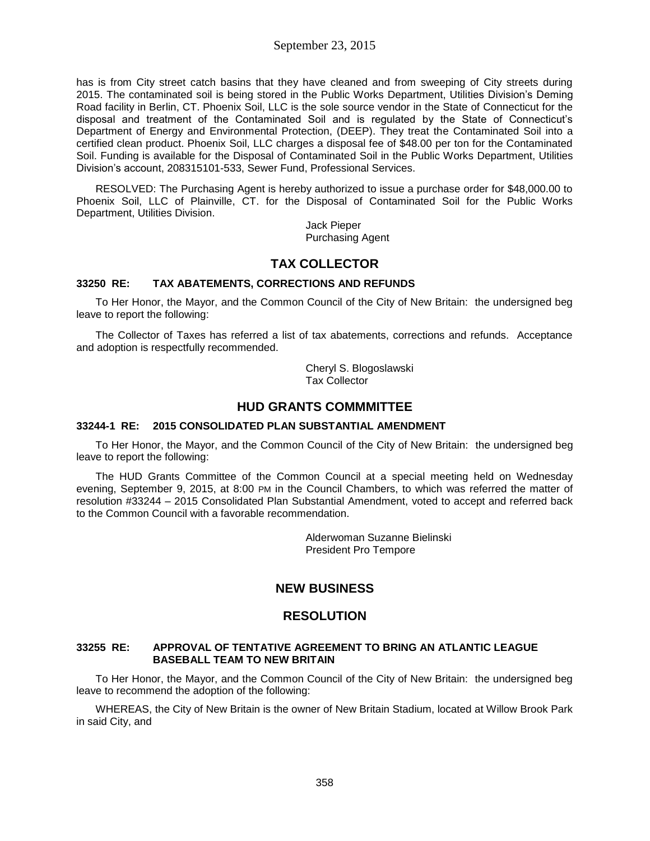has is from City street catch basins that they have cleaned and from sweeping of City streets during 2015. The contaminated soil is being stored in the Public Works Department, Utilities Division's Deming Road facility in Berlin, CT. Phoenix Soil, LLC is the sole source vendor in the State of Connecticut for the disposal and treatment of the Contaminated Soil and is regulated by the State of Connecticut's Department of Energy and Environmental Protection, (DEEP). They treat the Contaminated Soil into a certified clean product. Phoenix Soil, LLC charges a disposal fee of \$48.00 per ton for the Contaminated Soil. Funding is available for the Disposal of Contaminated Soil in the Public Works Department, Utilities Division's account, 208315101-533, Sewer Fund, Professional Services.

RESOLVED: The Purchasing Agent is hereby authorized to issue a purchase order for \$48,000.00 to Phoenix Soil, LLC of Plainville, CT. for the Disposal of Contaminated Soil for the Public Works Department, Utilities Division.

> Jack Pieper Purchasing Agent

# **TAX COLLECTOR**

#### **33250 RE: TAX ABATEMENTS, CORRECTIONS AND REFUNDS**

To Her Honor, the Mayor, and the Common Council of the City of New Britain: the undersigned beg leave to report the following:

The Collector of Taxes has referred a list of tax abatements, corrections and refunds. Acceptance and adoption is respectfully recommended.

> Cheryl S. Blogoslawski Tax Collector

# **HUD GRANTS COMMMITTEE**

#### **33244-1 RE: 2015 CONSOLIDATED PLAN SUBSTANTIAL AMENDMENT**

To Her Honor, the Mayor, and the Common Council of the City of New Britain: the undersigned beg leave to report the following:

The HUD Grants Committee of the Common Council at a special meeting held on Wednesday evening, September 9, 2015, at 8:00 PM in the Council Chambers, to which was referred the matter of resolution #33244 – 2015 Consolidated Plan Substantial Amendment, voted to accept and referred back to the Common Council with a favorable recommendation.

> Alderwoman Suzanne Bielinski President Pro Tempore

## **NEW BUSINESS**

## **RESOLUTION**

#### **33255 RE: APPROVAL OF TENTATIVE AGREEMENT TO BRING AN ATLANTIC LEAGUE BASEBALL TEAM TO NEW BRITAIN**

To Her Honor, the Mayor, and the Common Council of the City of New Britain: the undersigned beg leave to recommend the adoption of the following:

WHEREAS, the City of New Britain is the owner of New Britain Stadium, located at Willow Brook Park in said City, and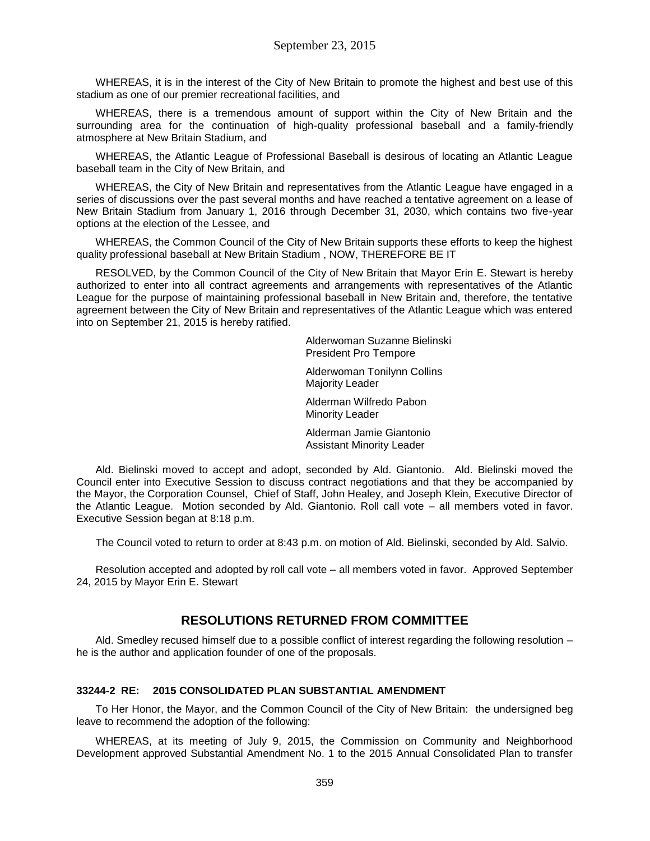WHEREAS, it is in the interest of the City of New Britain to promote the highest and best use of this stadium as one of our premier recreational facilities, and

WHEREAS, there is a tremendous amount of support within the City of New Britain and the surrounding area for the continuation of high-quality professional baseball and a family-friendly atmosphere at New Britain Stadium, and

WHEREAS, the Atlantic League of Professional Baseball is desirous of locating an Atlantic League baseball team in the City of New Britain, and

WHEREAS, the City of New Britain and representatives from the Atlantic League have engaged in a series of discussions over the past several months and have reached a tentative agreement on a lease of New Britain Stadium from January 1, 2016 through December 31, 2030, which contains two five-year options at the election of the Lessee, and

WHEREAS, the Common Council of the City of New Britain supports these efforts to keep the highest quality professional baseball at New Britain Stadium , NOW, THEREFORE BE IT

RESOLVED, by the Common Council of the City of New Britain that Mayor Erin E. Stewart is hereby authorized to enter into all contract agreements and arrangements with representatives of the Atlantic League for the purpose of maintaining professional baseball in New Britain and, therefore, the tentative agreement between the City of New Britain and representatives of the Atlantic League which was entered into on September 21, 2015 is hereby ratified.

> Alderwoman Suzanne Bielinski President Pro Tempore

Alderwoman Tonilynn Collins Majority Leader

Alderman Wilfredo Pabon Minority Leader

Alderman Jamie Giantonio Assistant Minority Leader

Ald. Bielinski moved to accept and adopt, seconded by Ald. Giantonio. Ald. Bielinski moved the Council enter into Executive Session to discuss contract negotiations and that they be accompanied by the Mayor, the Corporation Counsel, Chief of Staff, John Healey, and Joseph Klein, Executive Director of the Atlantic League. Motion seconded by Ald. Giantonio. Roll call vote – all members voted in favor. Executive Session began at 8:18 p.m.

The Council voted to return to order at 8:43 p.m. on motion of Ald. Bielinski, seconded by Ald. Salvio.

Resolution accepted and adopted by roll call vote – all members voted in favor. Approved September 24, 2015 by Mayor Erin E. Stewart

# **RESOLUTIONS RETURNED FROM COMMITTEE**

Ald. Smedley recused himself due to a possible conflict of interest regarding the following resolution – he is the author and application founder of one of the proposals.

#### **33244-2 RE: 2015 CONSOLIDATED PLAN SUBSTANTIAL AMENDMENT**

To Her Honor, the Mayor, and the Common Council of the City of New Britain: the undersigned beg leave to recommend the adoption of the following:

WHEREAS, at its meeting of July 9, 2015, the Commission on Community and Neighborhood Development approved Substantial Amendment No. 1 to the 2015 Annual Consolidated Plan to transfer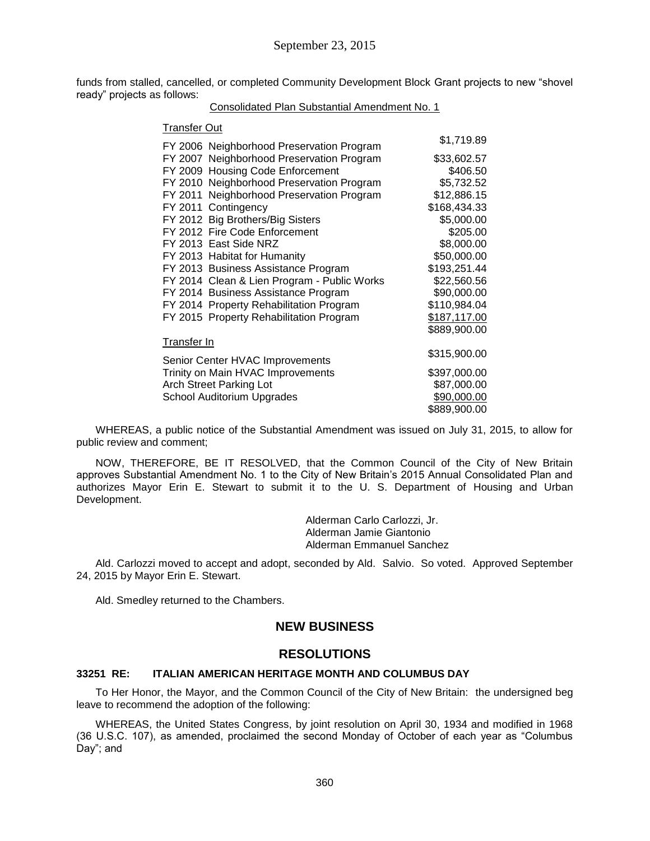funds from stalled, cancelled, or completed Community Development Block Grant projects to new "shovel ready" projects as follows:

| <b>Transfer Out</b>                         |              |  |
|---------------------------------------------|--------------|--|
| FY 2006 Neighborhood Preservation Program   | \$1,719.89   |  |
| FY 2007 Neighborhood Preservation Program   | \$33,602.57  |  |
| FY 2009 Housing Code Enforcement            | \$406.50     |  |
| FY 2010 Neighborhood Preservation Program   | \$5,732.52   |  |
| FY 2011 Neighborhood Preservation Program   | \$12,886.15  |  |
| FY 2011 Contingency                         | \$168,434.33 |  |
| FY 2012 Big Brothers/Big Sisters            | \$5,000.00   |  |
| FY 2012 Fire Code Enforcement               | \$205.00     |  |
| FY 2013 East Side NRZ                       | \$8,000.00   |  |
| FY 2013 Habitat for Humanity                | \$50,000.00  |  |
| FY 2013 Business Assistance Program         | \$193,251.44 |  |
| FY 2014 Clean & Lien Program - Public Works | \$22,560.56  |  |
| FY 2014 Business Assistance Program         | \$90,000.00  |  |
| FY 2014 Property Rehabilitation Program     | \$110,984.04 |  |
| FY 2015 Property Rehabilitation Program     | \$187,117.00 |  |
|                                             | \$889,900.00 |  |
| <b>Transfer In</b>                          |              |  |
| Senior Center HVAC Improvements             | \$315,900.00 |  |
| Trinity on Main HVAC Improvements           | \$397,000.00 |  |
| <b>Arch Street Parking Lot</b>              | \$87,000.00  |  |
| <b>School Auditorium Upgrades</b>           | \$90,000.00  |  |
|                                             | \$889,900.00 |  |

WHEREAS, a public notice of the Substantial Amendment was issued on July 31, 2015, to allow for public review and comment;

NOW, THEREFORE, BE IT RESOLVED, that the Common Council of the City of New Britain approves Substantial Amendment No. 1 to the City of New Britain's 2015 Annual Consolidated Plan and authorizes Mayor Erin E. Stewart to submit it to the U. S. Department of Housing and Urban Development.

> Alderman Carlo Carlozzi, Jr. Alderman Jamie Giantonio Alderman Emmanuel Sanchez

Ald. Carlozzi moved to accept and adopt, seconded by Ald. Salvio. So voted. Approved September 24, 2015 by Mayor Erin E. Stewart.

Ald. Smedley returned to the Chambers.

# **NEW BUSINESS**

## **RESOLUTIONS**

### **33251 RE: ITALIAN AMERICAN HERITAGE MONTH AND COLUMBUS DAY**

To Her Honor, the Mayor, and the Common Council of the City of New Britain: the undersigned beg leave to recommend the adoption of the following:

WHEREAS, the United States Congress, by joint resolution on April 30, 1934 and modified in 1968 (36 U.S.C. 107), as amended, proclaimed the second Monday of October of each year as "Columbus Day"; and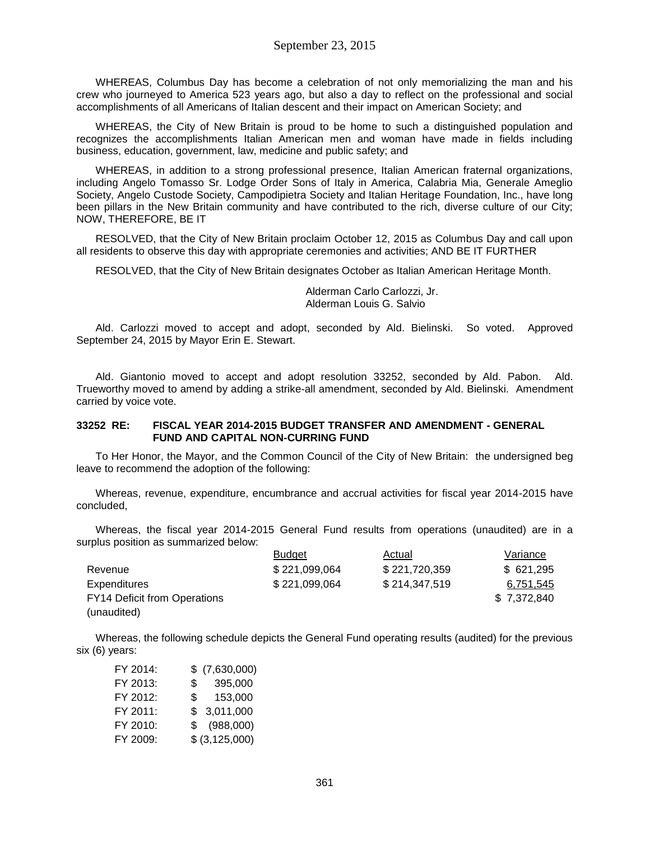WHEREAS, Columbus Day has become a celebration of not only memorializing the man and his crew who journeyed to America 523 years ago, but also a day to reflect on the professional and social accomplishments of all Americans of Italian descent and their impact on American Society; and

WHEREAS, the City of New Britain is proud to be home to such a distinguished population and recognizes the accomplishments Italian American men and woman have made in fields including business, education, government, law, medicine and public safety; and

WHEREAS, in addition to a strong professional presence, Italian American fraternal organizations, including Angelo Tomasso Sr. Lodge Order Sons of Italy in America, Calabria Mia, Generale Ameglio Society, Angelo Custode Society, Campodipietra Society and Italian Heritage Foundation, Inc., have long been pillars in the New Britain community and have contributed to the rich, diverse culture of our City; NOW, THEREFORE, BE IT

RESOLVED, that the City of New Britain proclaim October 12, 2015 as Columbus Day and call upon all residents to observe this day with appropriate ceremonies and activities; AND BE IT FURTHER

RESOLVED, that the City of New Britain designates October as Italian American Heritage Month.

Alderman Carlo Carlozzi, Jr. Alderman Louis G. Salvio

Ald. Carlozzi moved to accept and adopt, seconded by Ald. Bielinski. So voted. Approved September 24, 2015 by Mayor Erin E. Stewart.

Ald. Giantonio moved to accept and adopt resolution 33252, seconded by Ald. Pabon. Ald. Trueworthy moved to amend by adding a strike-all amendment, seconded by Ald. Bielinski. Amendment carried by voice vote.

#### **33252 RE: FISCAL YEAR 2014-2015 BUDGET TRANSFER AND AMENDMENT - GENERAL FUND AND CAPITAL NON-CURRING FUND**

To Her Honor, the Mayor, and the Common Council of the City of New Britain: the undersigned beg leave to recommend the adoption of the following:

Whereas, revenue, expenditure, encumbrance and accrual activities for fiscal year 2014-2015 have concluded,

Whereas, the fiscal year 2014-2015 General Fund results from operations (unaudited) are in a surplus position as summarized below:

|                                     | <b>Budget</b> | Actual        | Variance    |
|-------------------------------------|---------------|---------------|-------------|
| Revenue                             | \$221,099,064 | \$221,720,359 | \$ 621.295  |
| Expenditures                        | \$221,099,064 | \$214,347,519 | 6,751,545   |
| <b>FY14 Deficit from Operations</b> |               |               | \$7.372.840 |
| (unaudited)                         |               |               |             |

Whereas, the following schedule depicts the General Fund operating results (audited) for the previous six (6) years:

| FY 2014: | $$$ (7,630,000)  |
|----------|------------------|
| FY 2013: | 395,000<br>S.    |
| FY 2012: | \$ 153,000       |
| FY 2011: | \$3,011,000      |
| FY 2010: | \$ (988,000)     |
| FY 2009: | \$ (3, 125, 000) |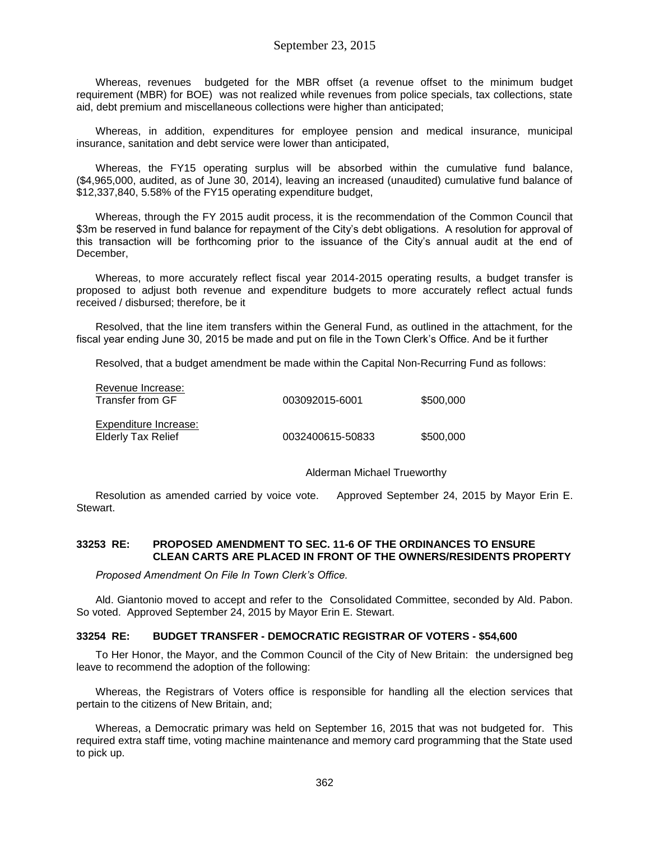Whereas, revenues budgeted for the MBR offset (a revenue offset to the minimum budget requirement (MBR) for BOE) was not realized while revenues from police specials, tax collections, state aid, debt premium and miscellaneous collections were higher than anticipated;

Whereas, in addition, expenditures for employee pension and medical insurance, municipal insurance, sanitation and debt service were lower than anticipated,

Whereas, the FY15 operating surplus will be absorbed within the cumulative fund balance, (\$4,965,000, audited, as of June 30, 2014), leaving an increased (unaudited) cumulative fund balance of \$12,337,840, 5.58% of the FY15 operating expenditure budget,

Whereas, through the FY 2015 audit process, it is the recommendation of the Common Council that \$3m be reserved in fund balance for repayment of the City's debt obligations. A resolution for approval of this transaction will be forthcoming prior to the issuance of the City's annual audit at the end of December,

Whereas, to more accurately reflect fiscal year 2014-2015 operating results, a budget transfer is proposed to adjust both revenue and expenditure budgets to more accurately reflect actual funds received / disbursed; therefore, be it

Resolved, that the line item transfers within the General Fund, as outlined in the attachment, for the fiscal year ending June 30, 2015 be made and put on file in the Town Clerk's Office. And be it further

Resolved, that a budget amendment be made within the Capital Non-Recurring Fund as follows:

| Revenue increase.<br>Transfer from GF              | 003092015-6001   | \$500,000 |
|----------------------------------------------------|------------------|-----------|
| Expenditure Increase:<br><b>Elderly Tax Relief</b> | 0032400615-50833 | \$500,000 |

Alderman Michael Trueworthy

Resolution as amended carried by voice vote. Approved September 24, 2015 by Mayor Erin E. Stewart.

#### **33253 RE: PROPOSED AMENDMENT TO SEC. 11-6 OF THE ORDINANCES TO ENSURE CLEAN CARTS ARE PLACED IN FRONT OF THE OWNERS/RESIDENTS PROPERTY**

*Proposed Amendment On File In Town Clerk's Office.*

Revenue Increase:

Ald. Giantonio moved to accept and refer to the Consolidated Committee, seconded by Ald. Pabon. So voted. Approved September 24, 2015 by Mayor Erin E. Stewart.

#### **33254 RE: BUDGET TRANSFER - DEMOCRATIC REGISTRAR OF VOTERS - \$54,600**

To Her Honor, the Mayor, and the Common Council of the City of New Britain: the undersigned beg leave to recommend the adoption of the following:

Whereas, the Registrars of Voters office is responsible for handling all the election services that pertain to the citizens of New Britain, and;

Whereas, a Democratic primary was held on September 16, 2015 that was not budgeted for. This required extra staff time, voting machine maintenance and memory card programming that the State used to pick up.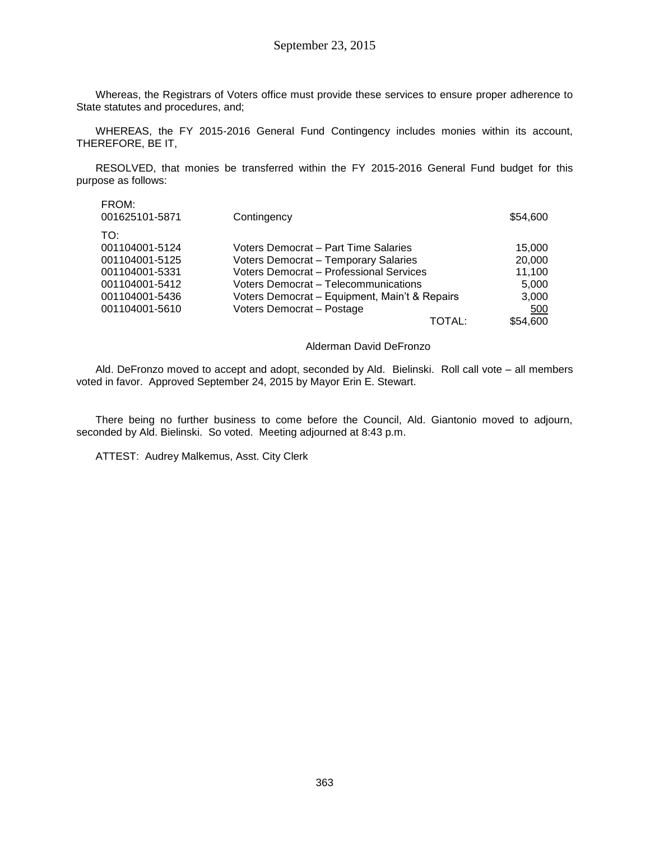Whereas, the Registrars of Voters office must provide these services to ensure proper adherence to State statutes and procedures, and;

WHEREAS, the FY 2015-2016 General Fund Contingency includes monies within its account, THEREFORE, BE IT,

RESOLVED, that monies be transferred within the FY 2015-2016 General Fund budget for this purpose as follows:

| FROM:<br>001625101-5871 | Contingency                                   | \$54,600 |
|-------------------------|-----------------------------------------------|----------|
| TO:                     |                                               |          |
| 001104001-5124          | Voters Democrat - Part Time Salaries          | 15,000   |
| 001104001-5125          | Voters Democrat - Temporary Salaries          | 20,000   |
| 001104001-5331          | Voters Democrat - Professional Services       | 11,100   |
| 001104001-5412          | Voters Democrat - Telecommunications          | 5,000    |
| 001104001-5436          | Voters Democrat - Equipment, Main't & Repairs | 3,000    |
| 001104001-5610          | Voters Democrat - Postage                     | 500      |
|                         | TOTAL:                                        | \$54,600 |
|                         |                                               |          |

#### Alderman David DeFronzo

Ald. DeFronzo moved to accept and adopt, seconded by Ald. Bielinski. Roll call vote – all members voted in favor. Approved September 24, 2015 by Mayor Erin E. Stewart.

There being no further business to come before the Council, Ald. Giantonio moved to adjourn, seconded by Ald. Bielinski. So voted. Meeting adjourned at 8:43 p.m.

ATTEST: Audrey Malkemus, Asst. City Clerk